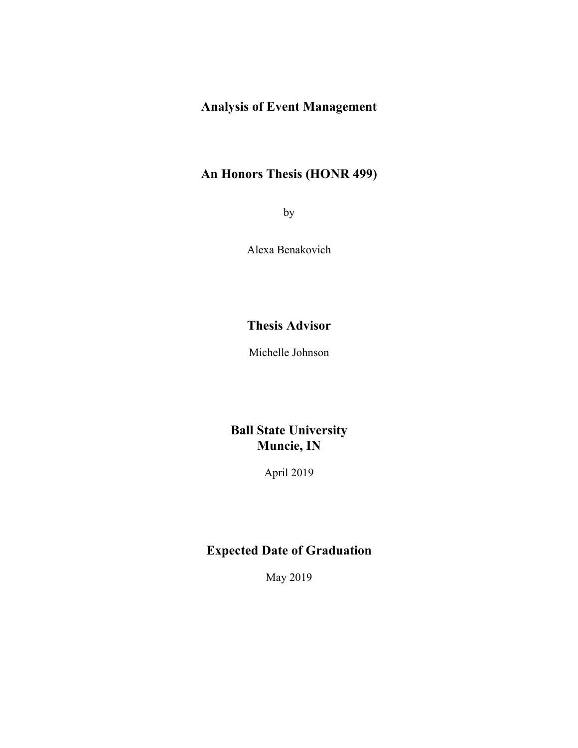# **Analysis of Event Management**

# **An Honors Thesis (HONR 499)**

by

Alexa Benakovich

## **Thesis Advisor**

Michelle Johnson

### **Ball State University Muncie, IN**

April 2019

### **Expected Date of Graduation**

May 2019